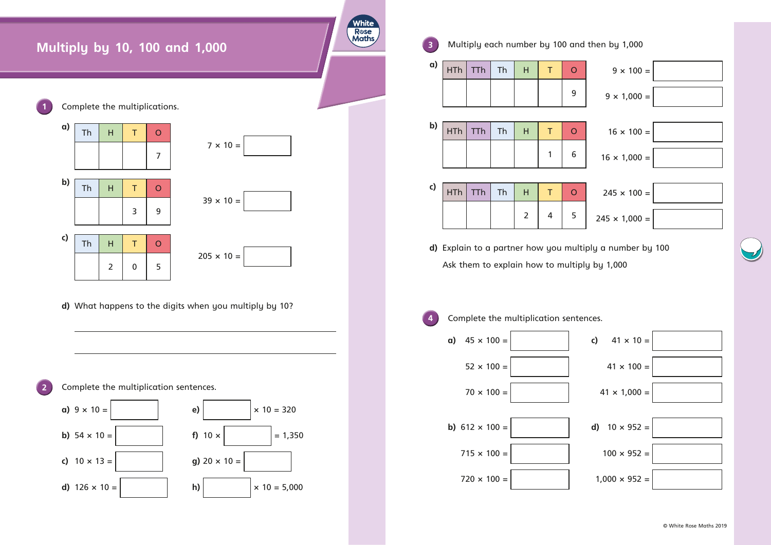





 $\bullet$ 

 $\bullet\bullet$ 

 $\bullet$ 

 $\bullet$ 

 $\bullet \in$ 

 $\bullet\bullet$ 





 $\bullet$ 







3

 $\bullet$  $\bullet$  $\bullet$  $\bullet$ 

 $\bullet$ 

 $\dagger$